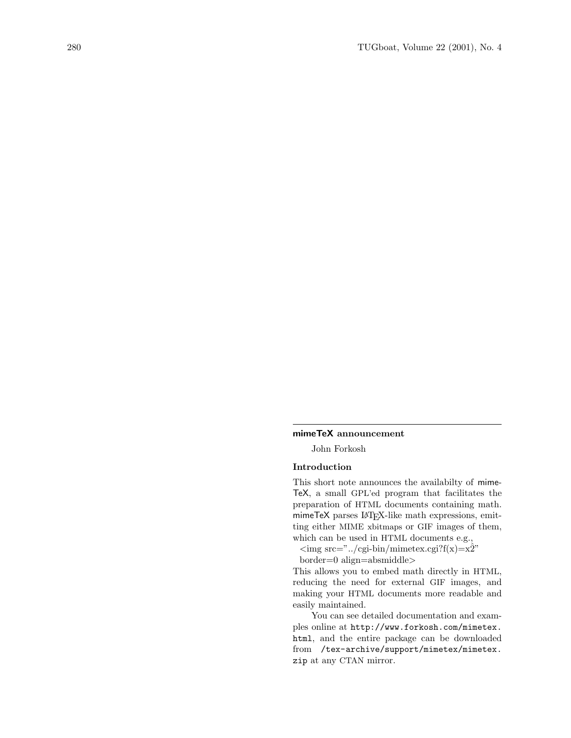## mimeTeX announcement

John Forkosh

## Introduction

This short note announces the availabilty of mime-TeX, a small GPL'ed program that facilitates the preparation of HTML documents containing math. mimeTeX parses LATFX-like math expressions, emitting either MIME xbitmaps or GIF images of them, which can be used in HTML documents e.g.,

 $\langle \text{img src} = "./cgi\text{-bin/mimeter.cgi?f(x)} = x\hat{2}"$ 

border=0 align=absmiddle>

This allows you to embed math directly in HTML, reducing the need for external GIF images, and making your HTML documents more readable and easily maintained.

You can see detailed documentation and examples online at http://www.forkosh.com/mimetex. html, and the entire package can be downloaded from /tex-archive/support/mimetex/mimetex. zip at any CTAN mirror.